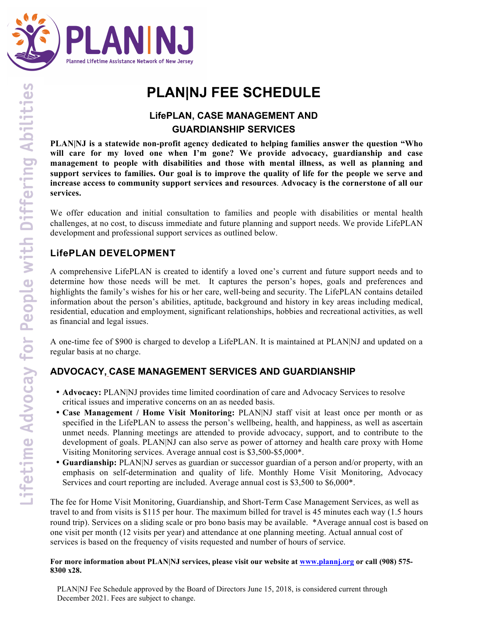

# **PLAN|NJ FEE SCHEDULE**

# **LifePLAN, CASE MANAGEMENT AND GUARDIANSHIP SERVICES**

**PLAN|NJ is a statewide non-profit agency dedicated to helping families answer the question "Who will care for my loved one when I'm gone? We provide advocacy, guardianship and case management to people with disabilities and those with mental illness, as well as planning and support services to families. Our goal is to improve the quality of life for the people we serve and increase access to community support services and resources**. **Advocacy is the cornerstone of all our services.**

We offer education and initial consultation to families and people with disabilities or mental health challenges, at no cost, to discuss immediate and future planning and support needs. We provide LifePLAN development and professional support services as outlined below.

### **LifePLAN DEVELOPMENT**

A comprehensive LifePLAN is created to identify a loved one's current and future support needs and to determine how those needs will be met. It captures the person's hopes, goals and preferences and highlights the family's wishes for his or her care, well-being and security. The LifePLAN contains detailed information about the person's abilities, aptitude, background and history in key areas including medical, residential, education and employment, significant relationships, hobbies and recreational activities, as well as financial and legal issues.

A one-time fee of \$900 is charged to develop a LifePLAN. It is maintained at PLAN|NJ and updated on a regular basis at no charge.

### **ADVOCACY, CASE MANAGEMENT SERVICES AND GUARDIANSHIP**

- **Advocacy:** PLAN|NJ provides time limited coordination of care and Advocacy Services to resolve critical issues and imperative concerns on an as needed basis.
- **Case Management / Home Visit Monitoring:** PLAN|NJ staff visit at least once per month or as specified in the LifePLAN to assess the person's wellbeing, health, and happiness, as well as ascertain unmet needs. Planning meetings are attended to provide advocacy, support, and to contribute to the development of goals. PLAN|NJ can also serve as power of attorney and health care proxy with Home Visiting Monitoring services. Average annual cost is \$3,500-\$5,000\*.
- **Guardianship:** PLAN|NJ serves as guardian or successor guardian of a person and/or property, with an emphasis on self-determination and quality of life. Monthly Home Visit Monitoring, Advocacy Services and court reporting are included. Average annual cost is \$3,500 to \$6,000\*.

The fee for Home Visit Monitoring, Guardianship, and Short-Term Case Management Services, as well as travel to and from visits is \$115 per hour. The maximum billed for travel is 45 minutes each way (1.5 hours round trip). Services on a sliding scale or pro bono basis may be available. \*Average annual cost is based on one visit per month (12 visits per year) and attendance at one planning meeting. Actual annual cost of services is based on the frequency of visits requested and number of hours of service.

#### **For more information about PLAN|NJ services, please visit our website at www.plannj.org or call (908) 575- 8300 x28.**

PLAN|NJ Fee Schedule approved by the Board of Directors June 15, 2018, is considered current through December 2021. Fees are subject to change.